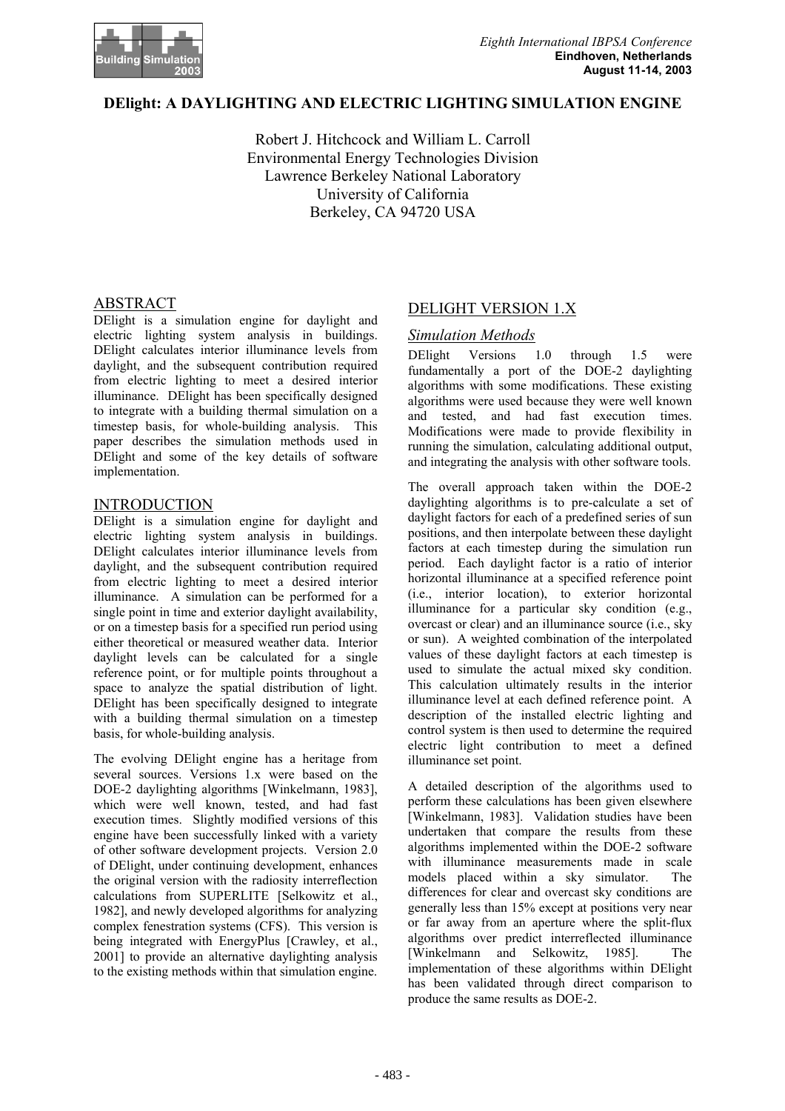

#### **DElight: A DAYLIGHTING AND ELECTRIC LIGHTING SIMULATION ENGINE**

Robert J. Hitchcock and William L. Carroll Environmental Energy Technologies Division Lawrence Berkeley National Laboratory University of California Berkeley, CA 94720 USA

DElight is a simulation engine for daylight and electric lighting system analysis in buildings. DElight calculates interior illuminance levels from daylight, and the subsequent contribution required from electric lighting to meet a desired interior illuminance. DElight has been specifically designed to integrate with a building thermal simulation on a timestep basis, for whole-building analysis. This paper describes the simulation methods used in DElight and some of the key details of software implementation.

#### INTRODUCTION

DElight is a simulation engine for daylight and electric lighting system analysis in buildings. DElight calculates interior illuminance levels from daylight, and the subsequent contribution required from electric lighting to meet a desired interior illuminance. A simulation can be performed for a single point in time and exterior daylight availability, or on a timestep basis for a specified run period using either theoretical or measured weather data. Interior daylight levels can be calculated for a single reference point, or for multiple points throughout a space to analyze the spatial distribution of light. DElight has been specifically designed to integrate with a building thermal simulation on a timestep basis, for whole-building analysis.

The evolving DElight engine has a heritage from several sources. Versions 1.x were based on the DOE-2 daylighting algorithms [Winkelmann, 1983], which were well known, tested, and had fast execution times. Slightly modified versions of this engine have been successfully linked with a variety of other software development projects. Version 2.0 of DElight, under continuing development, enhances the original version with the radiosity interreflection calculations from SUPERLITE [Selkowitz et al., 1982], and newly developed algorithms for analyzing complex fenestration systems (CFS). This version is being integrated with EnergyPlus [Crawley, et al., 2001] to provide an alternative daylighting analysis to the existing methods within that simulation engine.

# ABSTRACT DELIGHT VERSION 1.X

#### *Simulation Methods*

DElight Versions 1.0 through 1.5 were fundamentally a port of the DOE-2 daylighting algorithms with some modifications. These existing algorithms were used because they were well known and tested, and had fast execution times. Modifications were made to provide flexibility in running the simulation, calculating additional output, and integrating the analysis with other software tools.

The overall approach taken within the DOE-2 daylighting algorithms is to pre-calculate a set of daylight factors for each of a predefined series of sun positions, and then interpolate between these daylight factors at each timestep during the simulation run period. Each daylight factor is a ratio of interior horizontal illuminance at a specified reference point (i.e., interior location), to exterior horizontal illuminance for a particular sky condition (e.g., overcast or clear) and an illuminance source (i.e., sky or sun). A weighted combination of the interpolated values of these daylight factors at each timestep is used to simulate the actual mixed sky condition. This calculation ultimately results in the interior illuminance level at each defined reference point. A description of the installed electric lighting and control system is then used to determine the required electric light contribution to meet a defined illuminance set point.

A detailed description of the algorithms used to perform these calculations has been given elsewhere [Winkelmann, 1983]. Validation studies have been undertaken that compare the results from these algorithms implemented within the DOE-2 software with illuminance measurements made in scale models placed within a sky simulator. The differences for clear and overcast sky conditions are generally less than 15% except at positions very near or far away from an aperture where the split-flux algorithms over predict interreflected illuminance [Winkelmann and Selkowitz, 1985]. The implementation of these algorithms within DElight has been validated through direct comparison to produce the same results as DOE-2.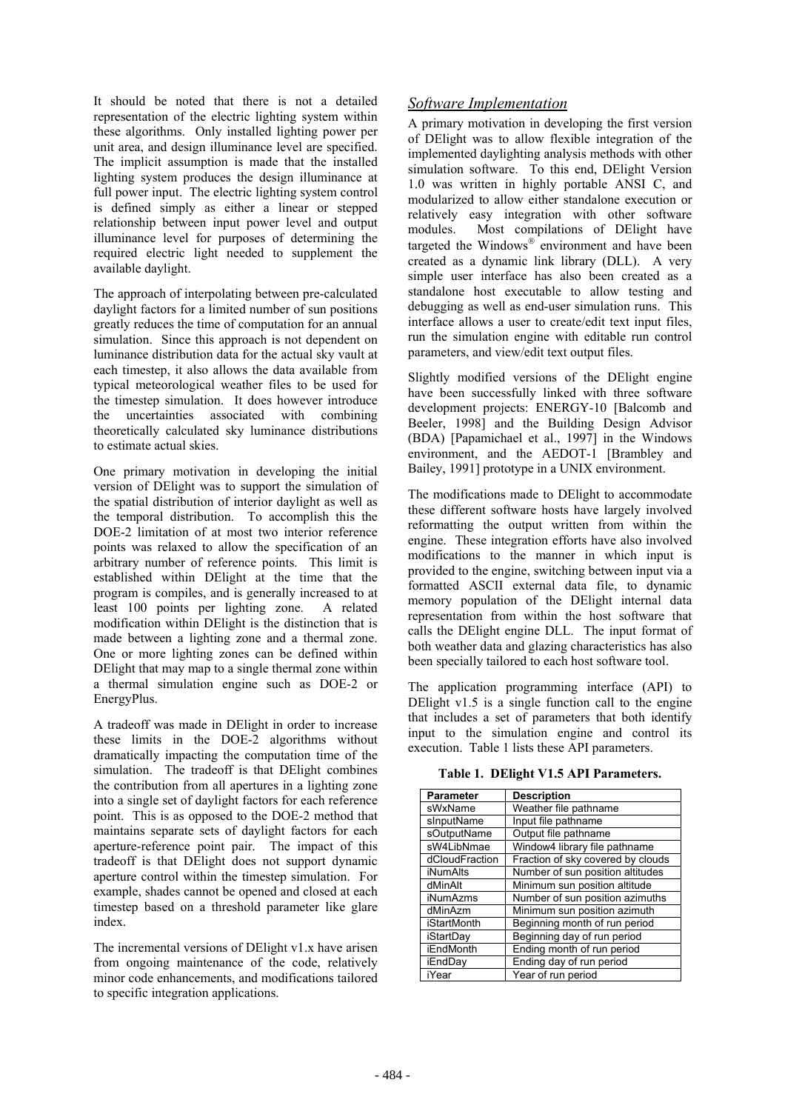It should be noted that there is not a detailed *Software Implementation* representation of the electric lighting system within these algorithms. Only installed lighting power per unit area, and design illuminance level are specified. The implicit assumption is made that the installed lighting system produces the design illuminance at full power input. The electric lighting system control is defined simply as either a linear or stepped relationship between input power level and output illuminance level for purposes of determining the required electric light needed to supplement the available daylight.

The approach of interpolating between pre-calculated daylight factors for a limited number of sun positions greatly reduces the time of computation for an annual simulation. Since this approach is not dependent on luminance distribution data for the actual sky vault at each timestep, it also allows the data available from typical meteorological weather files to be used for the timestep simulation. It does however introduce the uncertainties associated with combining theoretically calculated sky luminance distributions to estimate actual skies.

One primary motivation in developing the initial Bailey, 1991] prototype in a UNIX environment. version of DElight was to support the simulation of the spatial distribution of interior daylight as well as the temporal distribution. To accomplish this the DOE-2 limitation of at most two interior reference points was relaxed to allow the specification of an arbitrary number of reference points. This limit is established within DElight at the time that the program is compiles, and is generally increased to at least 100 points per lighting zone. A related modification within DElight is the distinction that is made between a lighting zone and a thermal zone. One or more lighting zones can be defined within DElight that may map to a single thermal zone within a thermal simulation engine such as DOE-2 or EnergyPlus.

A tradeoff was made in DElight in order to increase these limits in the DOE-2 algorithms without dramatically impacting the computation time of the simulation. The tradeoff is that DElight combines the contribution from all apertures in a lighting zone into a single set of daylight factors for each reference point. This is as opposed to the DOE-2 method that maintains separate sets of daylight factors for each aperture-reference point pair. The impact of this tradeoff is that DElight does not support dynamic aperture control within the timestep simulation. For example, shades cannot be opened and closed at each timestep based on a threshold parameter like glare index.

The incremental versions of DElight v1.x have arisen from ongoing maintenance of the code, relatively minor code enhancements, and modifications tailored to specific integration applications.

A primary motivation in developing the first version of DElight was to allow flexible integration of the implemented daylighting analysis methods with other simulation software. To this end, DElight Version 1.0 was written in highly portable ANSI C, and modularized to allow either standalone execution or relatively easy integration with other software modules. Most compilations of DElight have targeted the Windows® environment and have been created as a dynamic link library (DLL). A very simple user interface has also been created as a standalone host executable to allow testing and debugging as well as end-user simulation runs. This interface allows a user to create/edit text input files, run the simulation engine with editable run control parameters, and view/edit text output files.

Slightly modified versions of the DElight engine have been successfully linked with three software development projects: ENERGY-10 [Balcomb and Beeler, 1998] and the Building Design Advisor (BDA) [Papamichael et al., 1997] in the Windows environment, and the AEDOT-1 [Brambley and

The modifications made to DElight to accommodate these different software hosts have largely involved reformatting the output written from within the engine. These integration efforts have also involved modifications to the manner in which input is provided to the engine, switching between input via a formatted ASCII external data file, to dynamic memory population of the DElight internal data representation from within the host software that calls the DElight engine DLL. The input format of both weather data and glazing characteristics has also been specially tailored to each host software tool.

The application programming interface (API) to DElight v1.5 is a single function call to the engine that includes a set of parameters that both identify input to the simulation engine and control its execution. Table 1 lists these API parameters.

**Table 1. DElight V1.5 API Parameters.** 

| <b>Parameter</b>   | <b>Description</b>                |
|--------------------|-----------------------------------|
| sWxName            | Weather file pathname             |
| sInputName         | Input file pathname               |
| sOutputName        | Output file pathname              |
| sW4LibNmae         | Window4 library file pathname     |
| dCloudFraction     | Fraction of sky covered by clouds |
| <b>iNumAlts</b>    | Number of sun position altitudes  |
| dMinAlt            | Minimum sun position altitude     |
| <b>iNumAzms</b>    | Number of sun position azimuths   |
| dMinAzm            | Minimum sun position azimuth      |
| <b>iStartMonth</b> | Beginning month of run period     |
| iStartDav          | Beginning day of run period       |
| <b>iEndMonth</b>   | Ending month of run period        |
| iEndDay            | Ending day of run period          |
| iYear              | Year of run period                |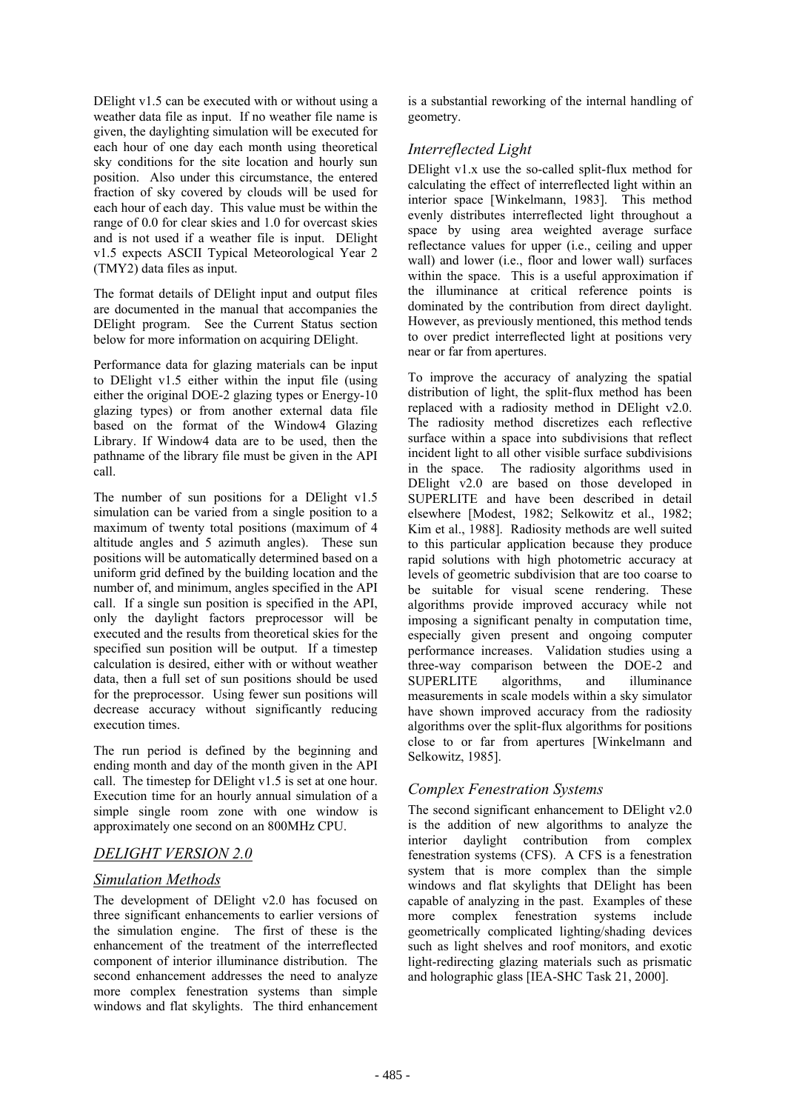DElight v1.5 can be executed with or without using a weather data file as input. If no weather file name is given, the daylighting simulation will be executed for each hour of one day each month using theoretical sky conditions for the site location and hourly sun position. Also under this circumstance, the entered fraction of sky covered by clouds will be used for each hour of each day. This value must be within the range of 0.0 for clear skies and 1.0 for overcast skies and is not used if a weather file is input. DElight v1.5 expects ASCII Typical Meteorological Year 2 (TMY2) data files as input.

The format details of DElight input and output files are documented in the manual that accompanies the DElight program. See the Current Status section below for more information on acquiring DElight.

Performance data for glazing materials can be input to DElight v1.5 either within the input file (using either the original DOE-2 glazing types or Energy-10 glazing types) or from another external data file based on the format of the Window4 Glazing Library. If Window4 data are to be used, then the pathname of the library file must be given in the API call.

The number of sun positions for a DElight v1.5 simulation can be varied from a single position to a maximum of twenty total positions (maximum of 4 altitude angles and 5 azimuth angles). These sun positions will be automatically determined based on a uniform grid defined by the building location and the number of, and minimum, angles specified in the API call. If a single sun position is specified in the API, only the daylight factors preprocessor will be executed and the results from theoretical skies for the specified sun position will be output. If a timestep calculation is desired, either with or without weather data, then a full set of sun positions should be used for the preprocessor. Using fewer sun positions will decrease accuracy without significantly reducing execution times.

The run period is defined by the beginning and ending month and day of the month given in the API call. The timestep for DElight v1.5 is set at one hour. Execution time for an hourly annual simulation of a simple single room zone with one window is approximately one second on an 800MHz CPU.

## *DELIGHT VERSION 2.0*

## *Simulation Methods*

The development of DElight v2.0 has focused on three significant enhancements to earlier versions of the simulation engine. The first of these is the enhancement of the treatment of the interreflected component of interior illuminance distribution. The second enhancement addresses the need to analyze more complex fenestration systems than simple windows and flat skylights. The third enhancement

is a substantial reworking of the internal handling of geometry.

## *Interreflected Light*

DElight v1.x use the so-called split-flux method for calculating the effect of interreflected light within an interior space [Winkelmann, 1983]. This method evenly distributes interreflected light throughout a space by using area weighted average surface reflectance values for upper (i.e., ceiling and upper wall) and lower (i.e., floor and lower wall) surfaces within the space. This is a useful approximation if the illuminance at critical reference points is dominated by the contribution from direct daylight. However, as previously mentioned, this method tends to over predict interreflected light at positions very near or far from apertures.

To improve the accuracy of analyzing the spatial distribution of light, the split-flux method has been replaced with a radiosity method in DElight v2.0. The radiosity method discretizes each reflective surface within a space into subdivisions that reflect incident light to all other visible surface subdivisions in the space. The radiosity algorithms used in DElight v2.0 are based on those developed in SUPERLITE and have been described in detail elsewhere [Modest, 1982; Selkowitz et al., 1982; Kim et al., 1988]. Radiosity methods are well suited to this particular application because they produce rapid solutions with high photometric accuracy at levels of geometric subdivision that are too coarse to be suitable for visual scene rendering. These algorithms provide improved accuracy while not imposing a significant penalty in computation time, especially given present and ongoing computer performance increases. Validation studies using a three-way comparison between the DOE-2 and SUPERLITE algorithms, and illuminance measurements in scale models within a sky simulator have shown improved accuracy from the radiosity algorithms over the split-flux algorithms for positions close to or far from apertures [Winkelmann and Selkowitz, 1985].

## *Complex Fenestration Systems*

The second significant enhancement to DElight v2.0 is the addition of new algorithms to analyze the interior daylight contribution from complex fenestration systems (CFS). A CFS is a fenestration system that is more complex than the simple windows and flat skylights that DElight has been capable of analyzing in the past. Examples of these more complex fenestration systems include geometrically complicated lighting/shading devices such as light shelves and roof monitors, and exotic light-redirecting glazing materials such as prismatic and holographic glass [IEA-SHC Task 21, 2000].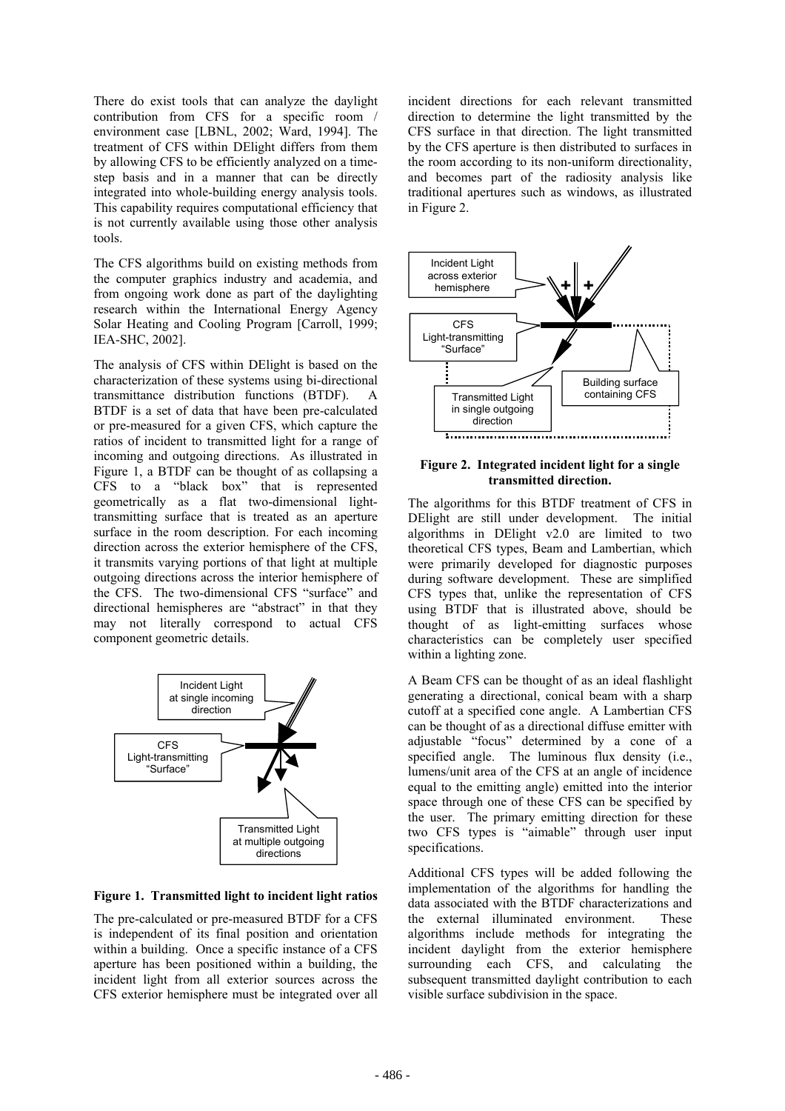There do exist tools that can analyze the daylight contribution from CFS for a specific room / environment case [LBNL, 2002; Ward, 1994]. The treatment of CFS within DElight differs from them by allowing CFS to be efficiently analyzed on a timestep basis and in a manner that can be directly integrated into whole-building energy analysis tools. This capability requires computational efficiency that is not currently available using those other analysis tools.

The CFS algorithms build on existing methods from the computer graphics industry and academia, and from ongoing work done as part of the daylighting research within the International Energy Agency Solar Heating and Cooling Program [Carroll, 1999; IEA-SHC, 2002].

The analysis of CFS within DElight is based on the characterization of these systems using bi-directional transmittance distribution functions (BTDF). A BTDF is a set of data that have been pre-calculated or pre-measured for a given CFS, which capture the ratios of incident to transmitted light for a range of incoming and outgoing directions. As illustrated in Figure 1, a BTDF can be thought of as collapsing a CFS to a "black box" that is represented geometrically as a flat two-dimensional lighttransmitting surface that is treated as an aperture surface in the room description. For each incoming direction across the exterior hemisphere of the CFS, it transmits varying portions of that light at multiple outgoing directions across the interior hemisphere of the CFS. The two-dimensional CFS "surface" and directional hemispheres are "abstract" in that they may not literally correspond to actual CFS component geometric details.



#### **Figure 1. Transmitted light to incident light ratios**

The pre-calculated or pre-measured BTDF for a CFS is independent of its final position and orientation within a building. Once a specific instance of a CFS aperture has been positioned within a building, the incident light from all exterior sources across the CFS exterior hemisphere must be integrated over all

incident directions for each relevant transmitted direction to determine the light transmitted by the CFS surface in that direction. The light transmitted by the CFS aperture is then distributed to surfaces in the room according to its non-uniform directionality, and becomes part of the radiosity analysis like traditional apertures such as windows, as illustrated in Figure 2.



#### **Figure 2. Integrated incident light for a single transmitted direction.**

The algorithms for this BTDF treatment of CFS in DElight are still under development. The initial algorithms in DElight v2.0 are limited to two theoretical CFS types, Beam and Lambertian, which were primarily developed for diagnostic purposes during software development. These are simplified CFS types that, unlike the representation of CFS using BTDF that is illustrated above, should be thought of as light-emitting surfaces whose characteristics can be completely user specified within a lighting zone.

A Beam CFS can be thought of as an ideal flashlight generating a directional, conical beam with a sharp cutoff at a specified cone angle. A Lambertian CFS can be thought of as a directional diffuse emitter with adjustable "focus" determined by a cone of a specified angle. The luminous flux density (i.e., lumens/unit area of the CFS at an angle of incidence equal to the emitting angle) emitted into the interior space through one of these CFS can be specified by the user. The primary emitting direction for these two CFS types is "aimable" through user input specifications.

Additional CFS types will be added following the implementation of the algorithms for handling the data associated with the BTDF characterizations and the external illuminated environment. These algorithms include methods for integrating the incident daylight from the exterior hemisphere surrounding each CFS, and calculating the subsequent transmitted daylight contribution to each visible surface subdivision in the space.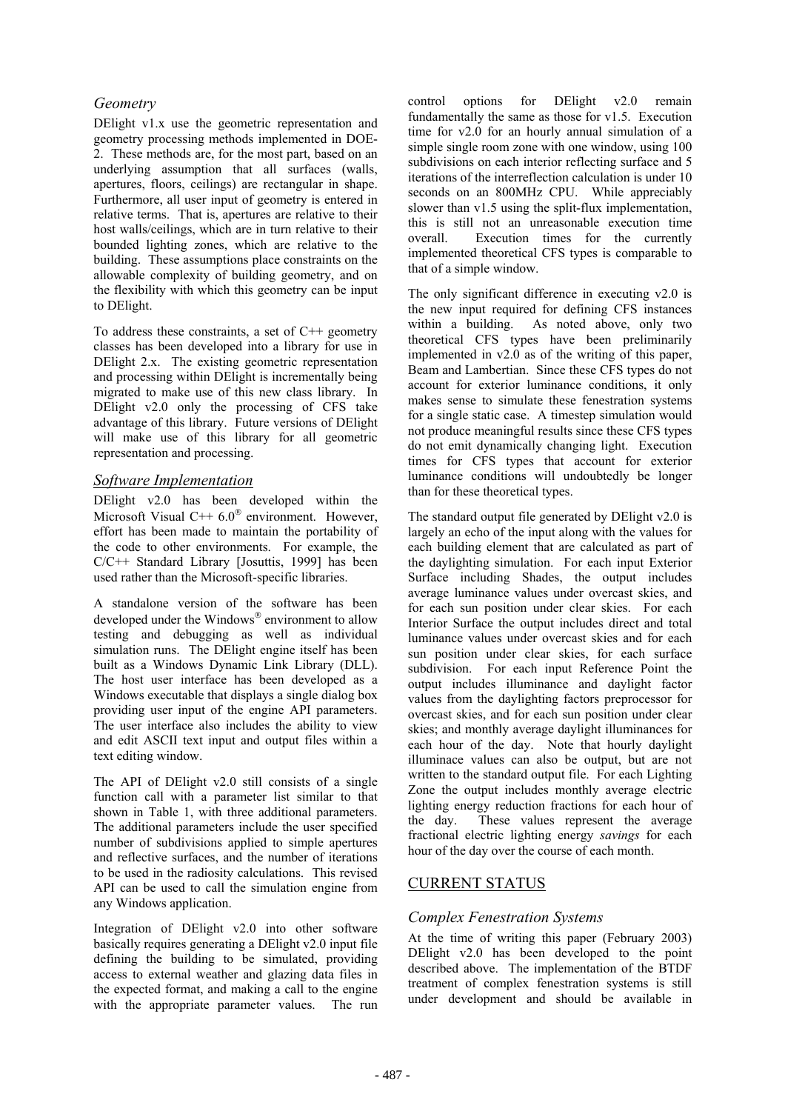## *Geometry*

DElight v1.x use the geometric representation and geometry processing methods implemented in DOE-2. These methods are, for the most part, based on an underlying assumption that all surfaces (walls, apertures, floors, ceilings) are rectangular in shape. Furthermore, all user input of geometry is entered in relative terms. That is, apertures are relative to their host walls/ceilings, which are in turn relative to their bounded lighting zones, which are relative to the building. These assumptions place constraints on the allowable complexity of building geometry, and on the flexibility with which this geometry can be input to DElight.

To address these constraints, a set of  $C++$  geometry classes has been developed into a library for use in DElight 2.x. The existing geometric representation and processing within DElight is incrementally being migrated to make use of this new class library. In DElight v2.0 only the processing of CFS take advantage of this library. Future versions of DElight will make use of this library for all geometric representation and processing.

#### *Software Implementation*

DElight v2.0 has been developed within the Microsoft Visual C++  $6.0^{\circ}$  environment. However, effort has been made to maintain the portability of the code to other environments. For example, the C/C++ Standard Library [Josuttis, 1999] has been used rather than the Microsoft-specific libraries.

A standalone version of the software has been developed under the Windows<sup>®</sup> environment to allow testing and debugging as well as individual simulation runs. The DElight engine itself has been built as a Windows Dynamic Link Library (DLL). The host user interface has been developed as a Windows executable that displays a single dialog box providing user input of the engine API parameters. The user interface also includes the ability to view and edit ASCII text input and output files within a text editing window.

The API of DElight v2.0 still consists of a single function call with a parameter list similar to that shown in Table 1, with three additional parameters. The additional parameters include the user specified number of subdivisions applied to simple apertures and reflective surfaces, and the number of iterations to be used in the radiosity calculations. This revised API can be used to call the simulation engine from any Windows application.

Integration of DElight v2.0 into other software basically requires generating a DElight v2.0 input file defining the building to be simulated, providing access to external weather and glazing data files in the expected format, and making a call to the engine with the appropriate parameter values. The run

control options for DElight v2.0 remain fundamentally the same as those for v1.5. Execution time for v2.0 for an hourly annual simulation of a simple single room zone with one window, using 100 subdivisions on each interior reflecting surface and 5 iterations of the interreflection calculation is under 10 seconds on an 800MHz CPU. While appreciably slower than v1.5 using the split-flux implementation, this is still not an unreasonable execution time overall. Execution times for the currently implemented theoretical CFS types is comparable to that of a simple window.

The only significant difference in executing v2.0 is the new input required for defining CFS instances within a building. As noted above, only two theoretical CFS types have been preliminarily implemented in v2.0 as of the writing of this paper, Beam and Lambertian. Since these CFS types do not account for exterior luminance conditions, it only makes sense to simulate these fenestration systems for a single static case. A timestep simulation would not produce meaningful results since these CFS types do not emit dynamically changing light. Execution times for CFS types that account for exterior luminance conditions will undoubtedly be longer than for these theoretical types.

The standard output file generated by DElight v2.0 is largely an echo of the input along with the values for each building element that are calculated as part of the daylighting simulation. For each input Exterior Surface including Shades, the output includes average luminance values under overcast skies, and for each sun position under clear skies. For each Interior Surface the output includes direct and total luminance values under overcast skies and for each sun position under clear skies, for each surface subdivision. For each input Reference Point the output includes illuminance and daylight factor values from the daylighting factors preprocessor for overcast skies, and for each sun position under clear skies; and monthly average daylight illuminances for each hour of the day. Note that hourly daylight illuminace values can also be output, but are not written to the standard output file. For each Lighting Zone the output includes monthly average electric lighting energy reduction fractions for each hour of the day. These values represent the average fractional electric lighting energy *savings* for each hour of the day over the course of each month.

## CURRENT STATUS

## *Complex Fenestration Systems*

At the time of writing this paper (February 2003) DElight v2.0 has been developed to the point described above. The implementation of the BTDF treatment of complex fenestration systems is still under development and should be available in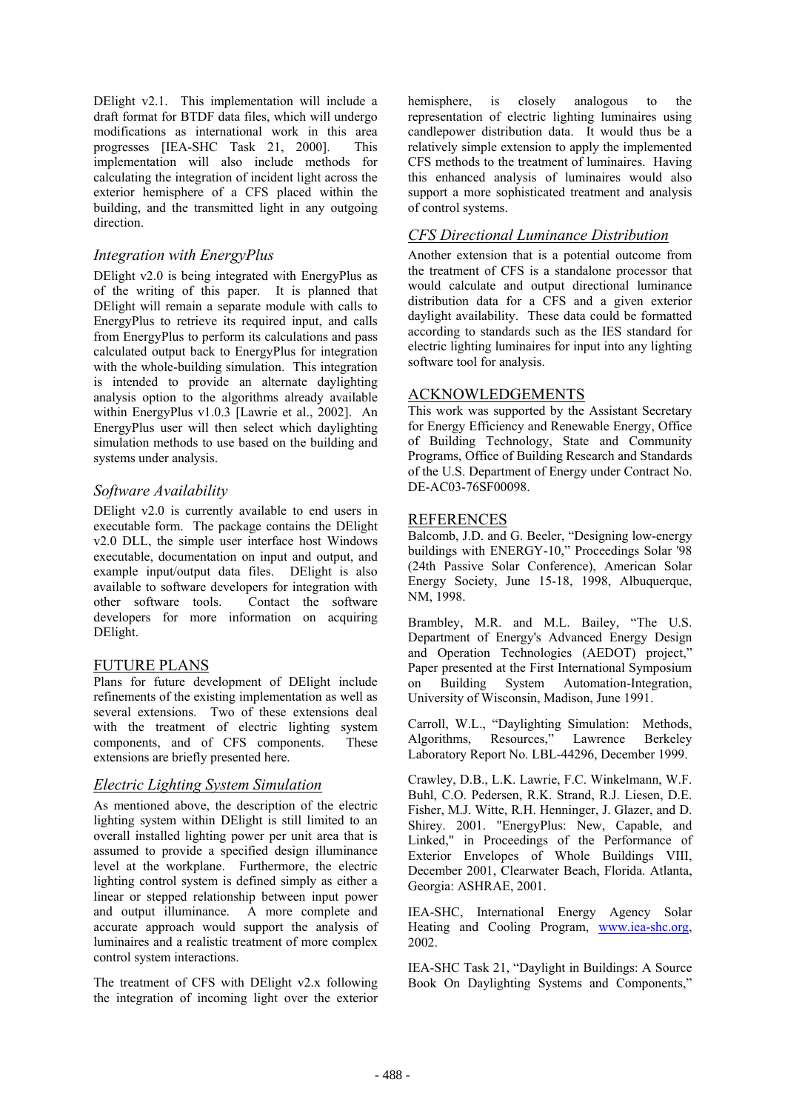DElight v2.1. This implementation will include a draft format for BTDF data files, which will undergo modifications as international work in this area progresses [IEA-SHC Task 21, 2000]. This implementation will also include methods for calculating the integration of incident light across the exterior hemisphere of a CFS placed within the building, and the transmitted light in any outgoing direction.

#### *Integration with EnergyPlus*

DElight v2.0 is being integrated with EnergyPlus as of the writing of this paper. It is planned that DElight will remain a separate module with calls to EnergyPlus to retrieve its required input, and calls from EnergyPlus to perform its calculations and pass calculated output back to EnergyPlus for integration with the whole-building simulation. This integration is intended to provide an alternate daylighting analysis option to the algorithms already available within EnergyPlus v1.0.3 [Lawrie et al., 2002]. An EnergyPlus user will then select which daylighting simulation methods to use based on the building and systems under analysis.

#### *Software Availability*

DElight v2.0 is currently available to end users in executable form. The package contains the DElight v2.0 DLL, the simple user interface host Windows executable, documentation on input and output, and example input/output data files. DElight is also available to software developers for integration with other software tools. Contact the software developers for more information on acquiring DElight.

#### FUTURE PLANS

Plans for future development of DElight include refinements of the existing implementation as well as several extensions. Two of these extensions deal with the treatment of electric lighting system components, and of CFS components. These extensions are briefly presented here.

#### *Electric Lighting System Simulation*

As mentioned above, the description of the electric lighting system within DElight is still limited to an overall installed lighting power per unit area that is assumed to provide a specified design illuminance level at the workplane. Furthermore, the electric lighting control system is defined simply as either a linear or stepped relationship between input power and output illuminance. A more complete and accurate approach would support the analysis of luminaires and a realistic treatment of more complex control system interactions.

The treatment of CFS with DElight v2.x following the integration of incoming light over the exterior

hemisphere, is closely analogous to the representation of electric lighting luminaires using candlepower distribution data. It would thus be a relatively simple extension to apply the implemented CFS methods to the treatment of luminaires. Having this enhanced analysis of luminaires would also support a more sophisticated treatment and analysis of control systems.

#### *CFS Directional Luminance Distribution*

Another extension that is a potential outcome from the treatment of CFS is a standalone processor that would calculate and output directional luminance distribution data for a CFS and a given exterior daylight availability. These data could be formatted according to standards such as the IES standard for electric lighting luminaires for input into any lighting software tool for analysis.

#### ACKNOWLEDGEMENTS

This work was supported by the Assistant Secretary for Energy Efficiency and Renewable Energy, Office of Building Technology, State and Community Programs, Office of Building Research and Standards of the U.S. Department of Energy under Contract No. DE-AC03-76SF00098.

#### REFERENCES

Balcomb, J.D. and G. Beeler, "Designing low-energy buildings with ENERGY-10," Proceedings Solar '98 (24th Passive Solar Conference), American Solar Energy Society, June 15-18, 1998, Albuquerque, NM, 1998.

Brambley, M.R. and M.L. Bailey, "The U.S. Department of Energy's Advanced Energy Design and Operation Technologies (AEDOT) project," Paper presented at the First International Symposium on Building System Automation-Integration, University of Wisconsin, Madison, June 1991.

Carroll, W.L., "Daylighting Simulation: Methods, Algorithms, Resources," Lawrence Berkeley Laboratory Report No. LBL-44296, December 1999.

Crawley, D.B., L.K. Lawrie, F.C. Winkelmann, W.F. Buhl, C.O. Pedersen, R.K. Strand, R.J. Liesen, D.E. Fisher, M.J. Witte, R.H. Henninger, J. Glazer, and D. Shirey. 2001. "EnergyPlus: New, Capable, and Linked," in Proceedings of the Performance of Exterior Envelopes of Whole Buildings VIII, December 2001, Clearwater Beach, Florida. Atlanta, Georgia: ASHRAE, 2001.

IEA-SHC, International Energy Agency Solar Heating and Cooling Program, www.iea-shc.org, 2002.

IEA-SHC Task 21, "Daylight in Buildings: A Source Book On Daylighting Systems and Components,"